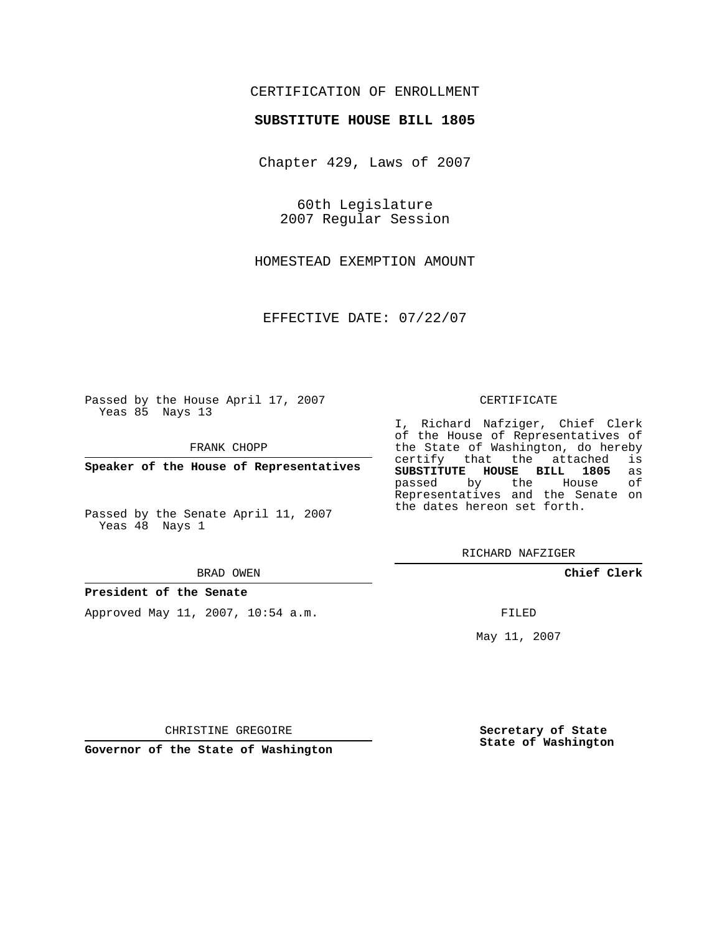# CERTIFICATION OF ENROLLMENT

## **SUBSTITUTE HOUSE BILL 1805**

Chapter 429, Laws of 2007

60th Legislature 2007 Regular Session

HOMESTEAD EXEMPTION AMOUNT

EFFECTIVE DATE: 07/22/07

Passed by the House April 17, 2007 Yeas 85 Nays 13

FRANK CHOPP

**Speaker of the House of Representatives**

Passed by the Senate April 11, 2007 Yeas 48 Nays 1

#### BRAD OWEN

## **President of the Senate**

Approved May 11, 2007, 10:54 a.m.

#### CERTIFICATE

I, Richard Nafziger, Chief Clerk of the House of Representatives of the State of Washington, do hereby<br>certify that the attached is certify that the attached **SUBSTITUTE HOUSE BILL 1805** as passed by the House Representatives and the Senate on the dates hereon set forth.

RICHARD NAFZIGER

**Chief Clerk**

FILED

May 11, 2007

**Secretary of State State of Washington**

CHRISTINE GREGOIRE

**Governor of the State of Washington**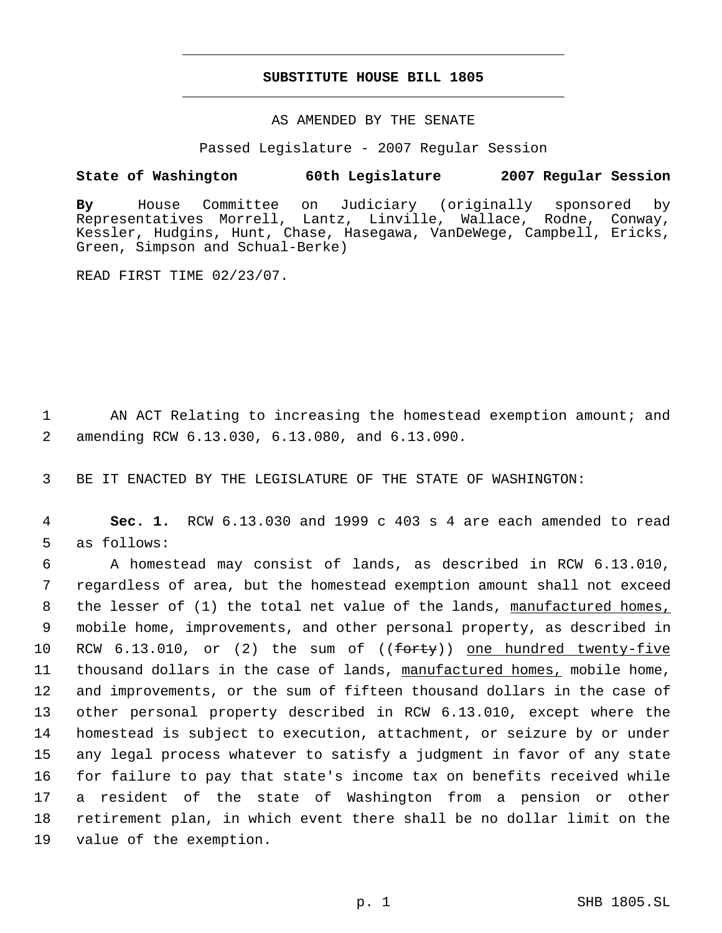# **SUBSTITUTE HOUSE BILL 1805** \_\_\_\_\_\_\_\_\_\_\_\_\_\_\_\_\_\_\_\_\_\_\_\_\_\_\_\_\_\_\_\_\_\_\_\_\_\_\_\_\_\_\_\_\_

\_\_\_\_\_\_\_\_\_\_\_\_\_\_\_\_\_\_\_\_\_\_\_\_\_\_\_\_\_\_\_\_\_\_\_\_\_\_\_\_\_\_\_\_\_

## AS AMENDED BY THE SENATE

Passed Legislature - 2007 Regular Session

## **State of Washington 60th Legislature 2007 Regular Session**

**By** House Committee on Judiciary (originally sponsored by Representatives Morrell, Lantz, Linville, Wallace, Rodne, Conway, Kessler, Hudgins, Hunt, Chase, Hasegawa, VanDeWege, Campbell, Ericks, Green, Simpson and Schual-Berke)

READ FIRST TIME 02/23/07.

1 AN ACT Relating to increasing the homestead exemption amount; and 2 amending RCW 6.13.030, 6.13.080, and 6.13.090.

3 BE IT ENACTED BY THE LEGISLATURE OF THE STATE OF WASHINGTON:

 4 **Sec. 1.** RCW 6.13.030 and 1999 c 403 s 4 are each amended to read 5 as follows:

 A homestead may consist of lands, as described in RCW 6.13.010, regardless of area, but the homestead exemption amount shall not exceed 8 the lesser of (1) the total net value of the lands, manufactured homes, mobile home, improvements, and other personal property, as described in 10 RCW  $6.13.010$ , or (2) the sum of ( $(f<sub>orty</sub>)$ ) one hundred twenty-five thousand dollars in the case of lands, manufactured homes, mobile home, and improvements, or the sum of fifteen thousand dollars in the case of other personal property described in RCW 6.13.010, except where the homestead is subject to execution, attachment, or seizure by or under any legal process whatever to satisfy a judgment in favor of any state for failure to pay that state's income tax on benefits received while a resident of the state of Washington from a pension or other retirement plan, in which event there shall be no dollar limit on the value of the exemption.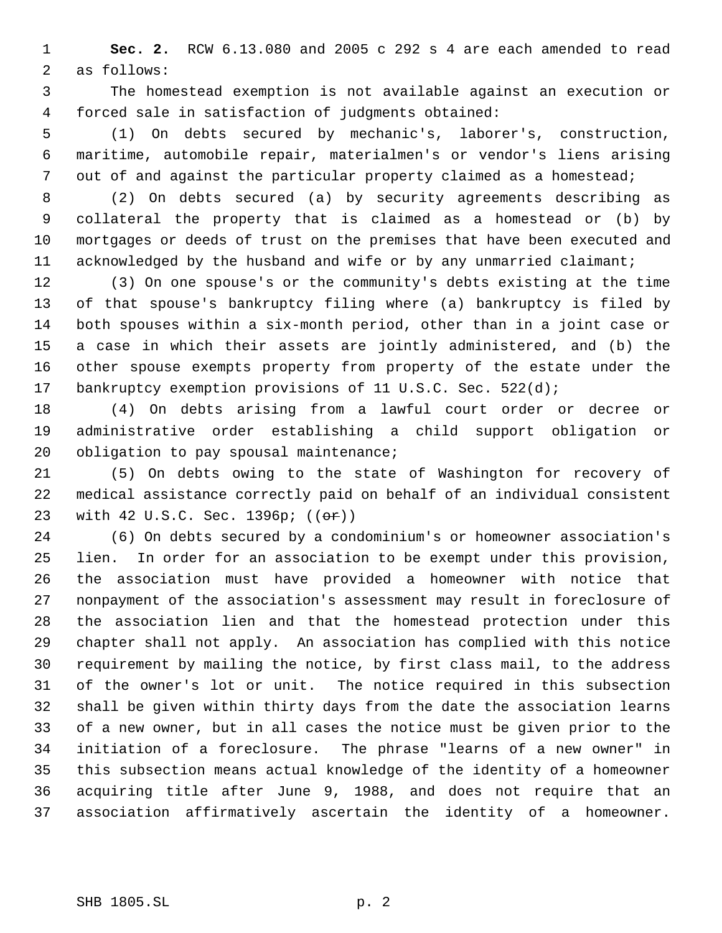**Sec. 2.** RCW 6.13.080 and 2005 c 292 s 4 are each amended to read as follows:

 The homestead exemption is not available against an execution or forced sale in satisfaction of judgments obtained:

 (1) On debts secured by mechanic's, laborer's, construction, maritime, automobile repair, materialmen's or vendor's liens arising out of and against the particular property claimed as a homestead;

 (2) On debts secured (a) by security agreements describing as collateral the property that is claimed as a homestead or (b) by mortgages or deeds of trust on the premises that have been executed and acknowledged by the husband and wife or by any unmarried claimant;

 (3) On one spouse's or the community's debts existing at the time of that spouse's bankruptcy filing where (a) bankruptcy is filed by both spouses within a six-month period, other than in a joint case or a case in which their assets are jointly administered, and (b) the other spouse exempts property from property of the estate under the 17 bankruptcy exemption provisions of 11 U.S.C. Sec. 522(d);

 (4) On debts arising from a lawful court order or decree or administrative order establishing a child support obligation or 20 obligation to pay spousal maintenance;

 (5) On debts owing to the state of Washington for recovery of medical assistance correctly paid on behalf of an individual consistent 23 with 42 U.S.C. Sec. 1396p; ((or))

 (6) On debts secured by a condominium's or homeowner association's lien. In order for an association to be exempt under this provision, the association must have provided a homeowner with notice that nonpayment of the association's assessment may result in foreclosure of the association lien and that the homestead protection under this chapter shall not apply. An association has complied with this notice requirement by mailing the notice, by first class mail, to the address of the owner's lot or unit. The notice required in this subsection shall be given within thirty days from the date the association learns of a new owner, but in all cases the notice must be given prior to the initiation of a foreclosure. The phrase "learns of a new owner" in this subsection means actual knowledge of the identity of a homeowner acquiring title after June 9, 1988, and does not require that an association affirmatively ascertain the identity of a homeowner.